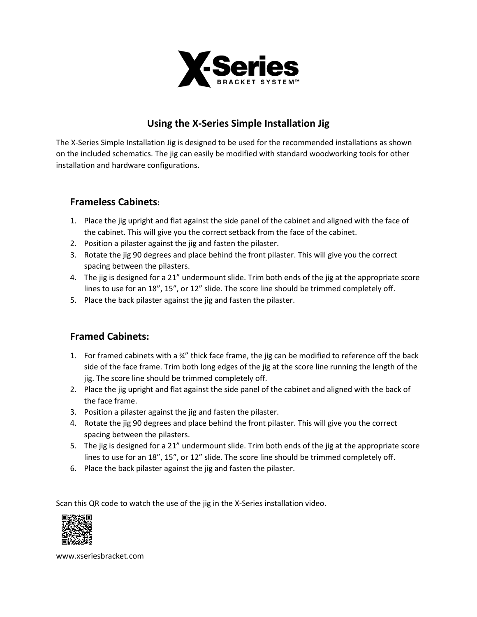

# **Using the X-Series Simple Installation Jig**

The X-Series Simple Installation Jig is designed to be used for the recommended installations as shown on the included schematics. The jig can easily be modified with standard woodworking tools for other installation and hardware configurations.

#### **Frameless Cabinets:**

- 1. Place the jig upright and flat against the side panel of the cabinet and aligned with the face of the cabinet. This will give you the correct setback from the face of the cabinet.
- 2. Position a pilaster against the jig and fasten the pilaster.
- 3. Rotate the jig 90 degrees and place behind the front pilaster. This will give you the correct spacing between the pilasters.
- 4. The jig is designed for a 21" undermount slide. Trim both ends of the jig at the appropriate score lines to use for an 18", 15", or 12" slide. The score line should be trimmed completely off.
- 5. Place the back pilaster against the jig and fasten the pilaster.

### **Framed Cabinets:**

- 1. For framed cabinets with a  $\frac{3}{4}$ " thick face frame, the jig can be modified to reference off the back side of the face frame. Trim both long edges of the jig at the score line running the length of the jig. The score line should be trimmed completely off.
- 2. Place the jig upright and flat against the side panel of the cabinet and aligned with the back of the face frame.
- 3. Position a pilaster against the jig and fasten the pilaster.
- 4. Rotate the jig 90 degrees and place behind the front pilaster. This will give you the correct spacing between the pilasters.
- 5. The jig is designed for a 21" undermount slide. Trim both ends of the jig at the appropriate score lines to use for an 18", 15", or 12" slide. The score line should be trimmed completely off.
- 6. Place the back pilaster against the jig and fasten the pilaster.

Scan this QR code to watch the use of the jig in the X-Series installation video.



www.xseriesbracket.com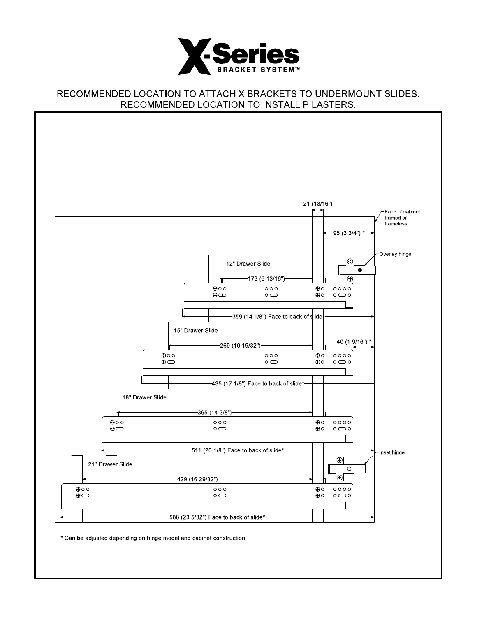

#### RECOMMENDED LOCATION TO ATTACH X BRACKETS TO UNDERMOUNT SLIDES. RECOMMENDED LOCATION TO INSTALL PILASTERS.